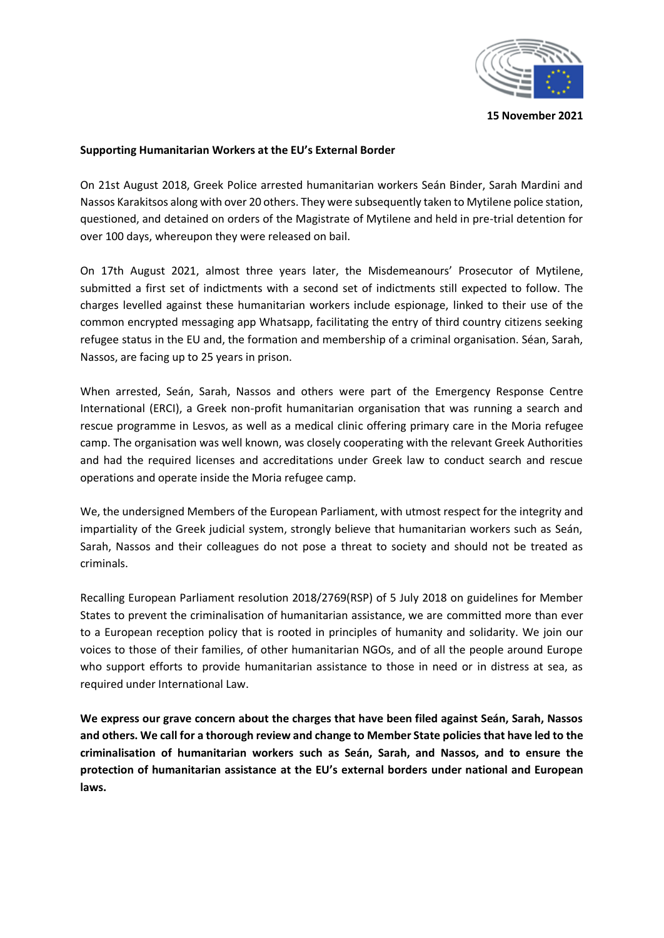

**15 November 2021**

## **Supporting Humanitarian Workers at the EU's External Border**

On 21st August 2018, Greek Police arrested humanitarian workers Seán Binder, Sarah Mardini and Nassos Karakitsos along with over 20 others. They were subsequently taken to Mytilene police station, questioned, and detained on orders of the Magistrate of Mytilene and held in pre-trial detention for over 100 days, whereupon they were released on bail.

On 17th August 2021, almost three years later, the Misdemeanours' Prosecutor of Mytilene, submitted a first set of indictments with a second set of indictments still expected to follow. The charges levelled against these humanitarian workers include espionage, linked to their use of the common encrypted messaging app Whatsapp, facilitating the entry of third country citizens seeking refugee status in the EU and, the formation and membership of a criminal organisation. Séan, Sarah, Nassos, are facing up to 25 years in prison.

When arrested, Seán, Sarah, Nassos and others were part of the Emergency Response Centre International (ERCI), a Greek non-profit humanitarian organisation that was running a search and rescue programme in Lesvos, as well as a medical clinic offering primary care in the Moria refugee camp. The organisation was well known, was closely cooperating with the relevant Greek Authorities and had the required licenses and accreditations under Greek law to conduct search and rescue operations and operate inside the Moria refugee camp.

We, the undersigned Members of the European Parliament, with utmost respect for the integrity and impartiality of the Greek judicial system, strongly believe that humanitarian workers such as Seán, Sarah, Nassos and their colleagues do not pose a threat to society and should not be treated as criminals.

Recalling European Parliament resolution 2018/2769(RSP) of 5 July 2018 on guidelines for Member States to prevent the criminalisation of humanitarian assistance, we are committed more than ever to a European reception policy that is rooted in principles of humanity and solidarity. We join our voices to those of their families, of other humanitarian NGOs, and of all the people around Europe who support efforts to provide humanitarian assistance to those in need or in distress at sea, as required under International Law.

**We express our grave concern about the charges that have been filed against Seán, Sarah, Nassos and others. We call for a thorough review and change to Member State policies that have led to the criminalisation of humanitarian workers such as Seán, Sarah, and Nassos, and to ensure the protection of humanitarian assistance at the EU's external borders under national and European laws.**